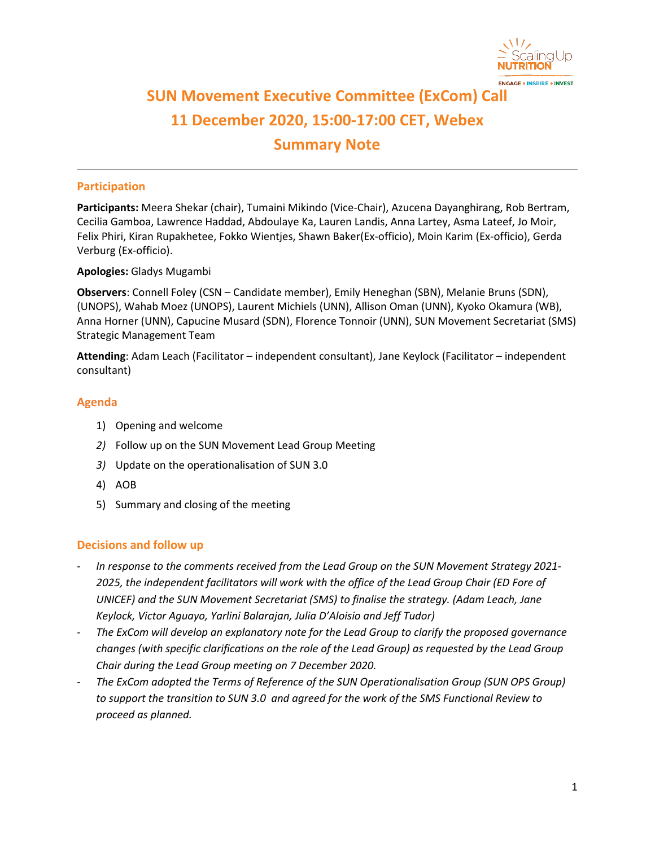

# **SUN Movement Executive Committee (ExCom) Call 11 December 2020, 15:00-17:00 CET, Webex Summary Note**

## **Participation**

**Participants:** Meera Shekar (chair), Tumaini Mikindo (Vice-Chair), Azucena Dayanghirang, Rob Bertram, Cecilia Gamboa, Lawrence Haddad, Abdoulaye Ka, Lauren Landis, Anna Lartey, Asma Lateef, Jo Moir, Felix Phiri, Kiran Rupakhetee, Fokko Wientjes, Shawn Baker(Ex-officio), Moin Karim (Ex-officio), Gerda Verburg (Ex-officio).

#### **Apologies:** Gladys Mugambi

**Observers**: Connell Foley (CSN – Candidate member), Emily Heneghan (SBN), Melanie Bruns (SDN), (UNOPS), Wahab Moez (UNOPS), Laurent Michiels (UNN), Allison Oman (UNN), Kyoko Okamura (WB), Anna Horner (UNN), Capucine Musard (SDN), Florence Tonnoir (UNN), SUN Movement Secretariat (SMS) Strategic Management Team

**Attending**: Adam Leach (Facilitator – independent consultant), Jane Keylock (Facilitator – independent consultant)

#### **Agenda**

- 1) Opening and welcome
- *2)* Follow up on the SUN Movement Lead Group Meeting
- *3)* Update on the operationalisation of SUN 3.0
- 4) AOB
- 5) Summary and closing of the meeting

#### **Decisions and follow up**

- *In response to the comments received from the Lead Group on the SUN Movement Strategy 2021- 2025, the independent facilitators will work with the office of the Lead Group Chair (ED Fore of UNICEF) and the SUN Movement Secretariat (SMS) to finalise the strategy. (Adam Leach, Jane Keylock, Victor Aguayo, Yarlini Balarajan, Julia D'Aloisio and Jeff Tudor)*
- *The ExCom will develop an explanatory note for the Lead Group to clarify the proposed governance changes (with specific clarifications on the role of the Lead Group) as requested by the Lead Group Chair during the Lead Group meeting on 7 December 2020.*
- *The ExCom adopted the Terms of Reference of the SUN Operationalisation Group (SUN OPS Group) to support the transition to SUN 3.0 and agreed for the work of the SMS Functional Review to proceed as planned.*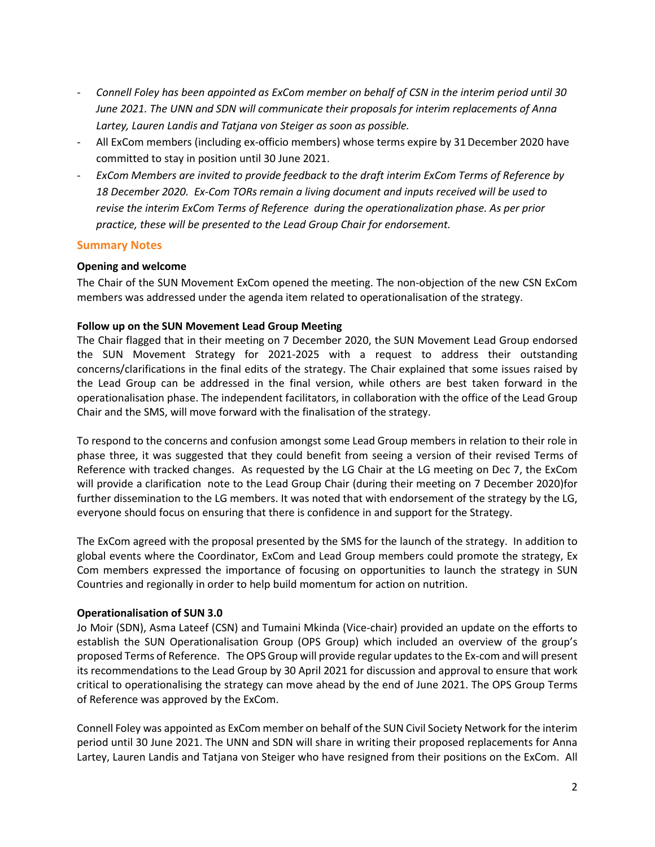- *Connell Foley has been appointed as ExCom member on behalf of CSN in the interim period until 30 June 2021. The UNN and SDN will communicate their proposals for interim replacements of Anna Lartey, Lauren Landis and Tatjana von Steiger as soon as possible.*
- All ExCom members (including ex-officio members) whose terms expire by 31 December 2020 have committed to stay in position until 30 June 2021.
- *ExCom Members are invited to provide feedback to the draft interim ExCom Terms of Reference by 18 December 2020. Ex-Com TORs remain a living document and inputs received will be used to revise the interim ExCom Terms of Reference during the operationalization phase. As per prior practice, these will be presented to the Lead Group Chair for endorsement.*

#### **Summary Notes**

#### **Opening and welcome**

The Chair of the SUN Movement ExCom opened the meeting. The non-objection of the new CSN ExCom members was addressed under the agenda item related to operationalisation of the strategy.

### **Follow up on the SUN Movement Lead Group Meeting**

The Chair flagged that in their meeting on 7 December 2020, the SUN Movement Lead Group endorsed the SUN Movement Strategy for 2021-2025 with a request to address their outstanding concerns/clarifications in the final edits of the strategy. The Chair explained that some issues raised by the Lead Group can be addressed in the final version, while others are best taken forward in the operationalisation phase. The independent facilitators, in collaboration with the office of the Lead Group Chair and the SMS, will move forward with the finalisation of the strategy.

To respond to the concerns and confusion amongst some Lead Group members in relation to their role in phase three, it was suggested that they could benefit from seeing a version of their revised Terms of Reference with tracked changes. As requested by the LG Chair at the LG meeting on Dec 7, the ExCom will provide a clarification note to the Lead Group Chair (during their meeting on 7 December 2020)for further dissemination to the LG members. It was noted that with endorsement of the strategy by the LG, everyone should focus on ensuring that there is confidence in and support for the Strategy.

The ExCom agreed with the proposal presented by the SMS for the launch of the strategy. In addition to global events where the Coordinator, ExCom and Lead Group members could promote the strategy, Ex Com members expressed the importance of focusing on opportunities to launch the strategy in SUN Countries and regionally in order to help build momentum for action on nutrition.

#### **Operationalisation of SUN 3.0**

Jo Moir (SDN), Asma Lateef (CSN) and Tumaini Mkinda (Vice-chair) provided an update on the efforts to establish the SUN Operationalisation Group (OPS Group) which included an overview of the group's proposed Terms of Reference. The OPS Group will provide regular updates to the Ex-com and will present its recommendations to the Lead Group by 30 April 2021 for discussion and approval to ensure that work critical to operationalising the strategy can move ahead by the end of June 2021. The OPS Group Terms of Reference was approved by the ExCom.

Connell Foley was appointed as ExCom member on behalf of the SUN Civil Society Network for the interim period until 30 June 2021. The UNN and SDN will share in writing their proposed replacements for Anna Lartey, Lauren Landis and Tatjana von Steiger who have resigned from their positions on the ExCom. All